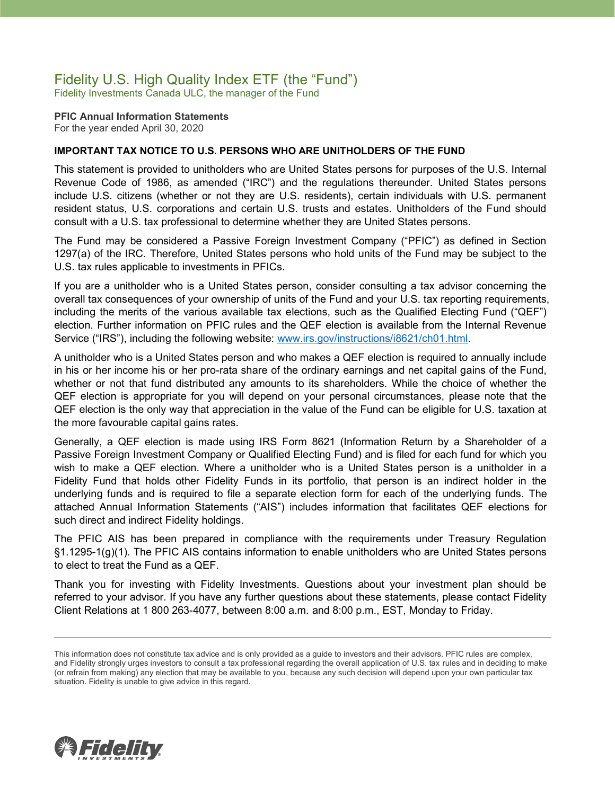### Fidelity U.S. High Quality Index ETF (the "Fund")

Fidelity Investments Canada ULC, the manager of the Fund

**PFIC Annual Information Statements** For the year ended April 30, 2020

### **IMPORTANT TAX NOTICE TO U.S. PERSONS WHO ARE UNITHOLDERS OF THE FUND**

This statement is provided to unitholders who are United States persons for purposes of the U.S. Internal Revenue Code of 1986, as amended ("IRC") and the regulations thereunder. United States persons include U.S. citizens (whether or not they are U.S. residents), certain individuals with U.S. permanent resident status, U.S. corporations and certain U.S. trusts and estates. Unitholders of the Fund should consult with a U.S. tax professional to determine whether they are United States persons.

The Fund may be considered a Passive Foreign Investment Company ("PFIC") as defined in Section 1297(a) of the IRC. Therefore, United States persons who hold units of the Fund may be subject to the U.S. tax rules applicable to investments in PFICs.

If you are a unitholder who is a United States person, consider consulting a tax advisor concerning the overall tax consequences of your ownership of units of the Fund and your U.S. tax reporting requirements, including the merits of the various available tax elections, such as the Qualified Electing Fund ("QEF") election. Further information on PFIC rules and the QEF election is available from the Internal Revenue Service ("IRS"), including the following website: [www.irs.gov/instructions/i8621/ch01.html.](http://www.irs.gov/instructions/i8621/ch01.html)

A unitholder who is a United States person and who makes a QEF election is required to annually include in his or her income his or her pro-rata share of the ordinary earnings and net capital gains of the Fund, whether or not that fund distributed any amounts to its shareholders. While the choice of whether the QEF election is appropriate for you will depend on your personal circumstances, please note that the QEF election is the only way that appreciation in the value of the Fund can be eligible for U.S. taxation at the more favourable capital gains rates.

Generally, a QEF election is made using IRS Form 8621 (Information Return by a Shareholder of a Passive Foreign Investment Company or Qualified Electing Fund) and is filed for each fund for which you wish to make a QEF election. Where a unitholder who is a United States person is a unitholder in a Fidelity Fund that holds other Fidelity Funds in its portfolio, that person is an indirect holder in the underlying funds and is required to file a separate election form for each of the underlying funds. The attached Annual Information Statements ("AIS") includes information that facilitates QEF elections for such direct and indirect Fidelity holdings.

The PFIC AIS has been prepared in compliance with the requirements under Treasury Regulation §1.1295-1(g)(1). The PFIC AIS contains information to enable unitholders who are United States persons to elect to treat the Fund as a QEF.

Thank you for investing with Fidelity Investments. Questions about your investment plan should be referred to your advisor. If you have any further questions about these statements, please contact Fidelity Client Relations at 1 800 263-4077, between 8:00 a.m. and 8:00 p.m., EST, Monday to Friday.



This information does not constitute tax advice and is only provided as a guide to investors and their advisors. PFIC rules are complex, and Fidelity strongly urges investors to consult a tax professional regarding the overall application of U.S. tax rules and in deciding to make (or refrain from making) any election that may be available to you, because any such decision will depend upon your own particular tax situation. Fidelity is unable to give advice in this regard.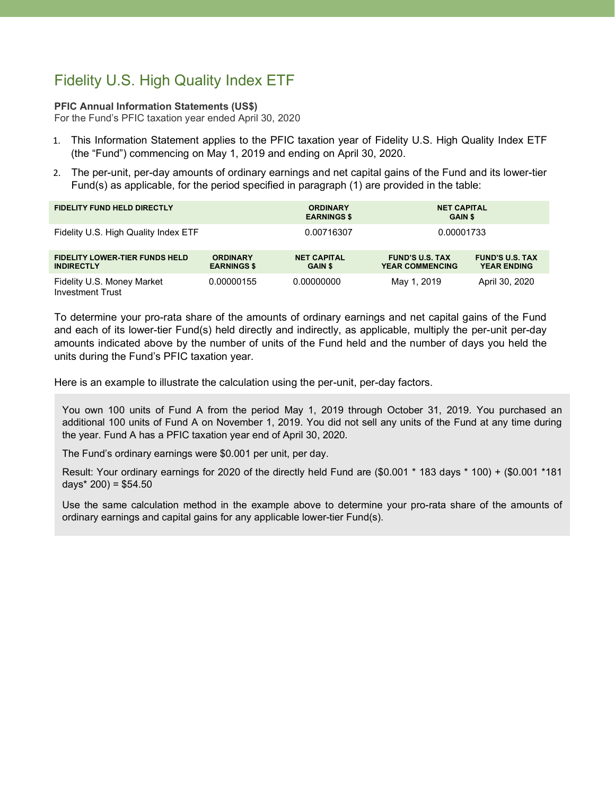# Fidelity U.S. High Quality Index ETF

#### **PFIC Annual Information Statements (US\$)**

For the Fund's PFIC taxation year ended April 30, 2020

- 1. This Information Statement applies to the PFIC taxation year of Fidelity U.S. High Quality Index ETF (the "Fund") commencing on May 1, 2019 and ending on April 30, 2020.
- 2. The per-unit, per-day amounts of ordinary earnings and net capital gains of the Fund and its lower-tier Fund(s) as applicable, for the period specified in paragraph (1) are provided in the table:

| <b>FIDELITY FUND HELD DIRECTLY</b>                         |                                       | <b>ORDINARY</b><br><b>EARNINGS \$</b> | <b>NET CAPITAL</b><br><b>GAIN \$</b>             |                                              |
|------------------------------------------------------------|---------------------------------------|---------------------------------------|--------------------------------------------------|----------------------------------------------|
| Fidelity U.S. High Quality Index ETF                       |                                       | 0.00716307                            | 0.00001733                                       |                                              |
| <b>FIDELITY LOWER-TIER FUNDS HELD</b><br><b>INDIRECTLY</b> | <b>ORDINARY</b><br><b>EARNINGS \$</b> | <b>NET CAPITAL</b><br><b>GAIN \$</b>  | <b>FUND'S U.S. TAX</b><br><b>YEAR COMMENCING</b> | <b>FUND'S U.S. TAX</b><br><b>YEAR ENDING</b> |
| Fidelity U.S. Money Market<br><b>Investment Trust</b>      | 0.00000155                            | 0.00000000                            | May 1, 2019                                      | April 30, 2020                               |

To determine your pro-rata share of the amounts of ordinary earnings and net capital gains of the Fund and each of its lower-tier Fund(s) held directly and indirectly, as applicable, multiply the per-unit per-day amounts indicated above by the number of units of the Fund held and the number of days you held the units during the Fund's PFIC taxation year.

Here is an example to illustrate the calculation using the per-unit, per-day factors.

You own 100 units of Fund A from the period May 1, 2019 through October 31, 2019. You purchased an additional 100 units of Fund A on November 1, 2019. You did not sell any units of the Fund at any time during the year. Fund A has a PFIC taxation year end of April 30, 2020.

The Fund's ordinary earnings were \$0.001 per unit, per day.

Result: Your ordinary earnings for 2020 of the directly held Fund are (\$0.001 \* 183 days \* 100) + (\$0.001 \*181 days\* 200) = \$54.50

Use the same calculation method in the example above to determine your pro-rata share of the amounts of ordinary earnings and capital gains for any applicable lower-tier Fund(s).